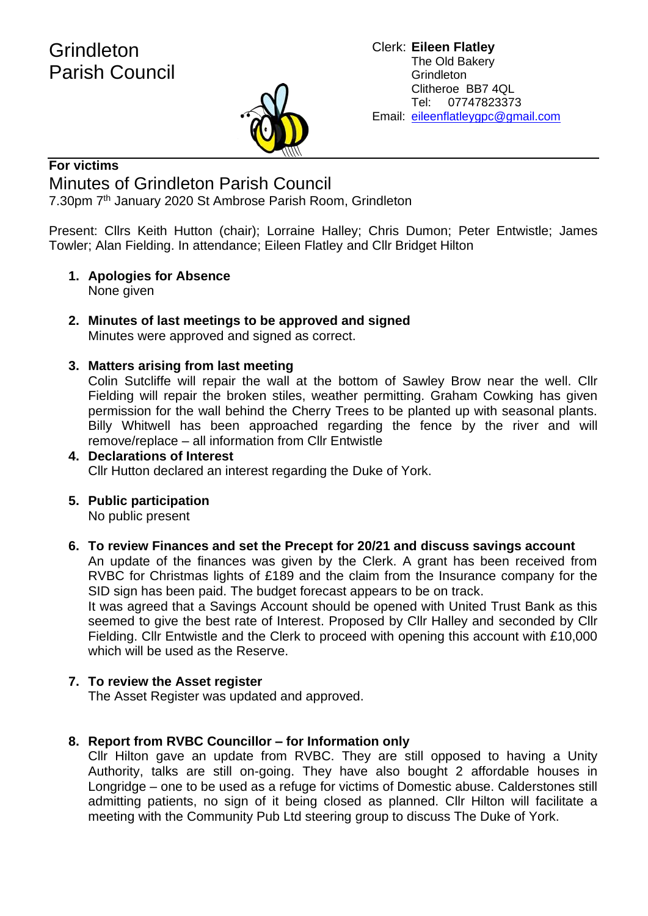

#### Clerk: **Eileen Flatley** The Old Bakery **Grindleton** Clitheroe BB7 4QL Tel: 07747823373 Email: eileenflatleygpc@gmail.com

#### **For victims**

## Minutes of Grindleton Parish Council

7.30pm 7<sup>th</sup> January 2020 St Ambrose Parish Room, Grindleton

Present: Cllrs Keith Hutton (chair); Lorraine Halley; Chris Dumon; Peter Entwistle; James Towler; Alan Fielding. In attendance; Eileen Flatley and Cllr Bridget Hilton

- **1. Apologies for Absence** None given
- **2. Minutes of last meetings to be approved and signed** Minutes were approved and signed as correct.

#### **3. Matters arising from last meeting**

Colin Sutcliffe will repair the wall at the bottom of Sawley Brow near the well. Cllr Fielding will repair the broken stiles, weather permitting. Graham Cowking has given permission for the wall behind the Cherry Trees to be planted up with seasonal plants. Billy Whitwell has been approached regarding the fence by the river and will remove/replace – all information from Cllr Entwistle

- **4. Declarations of Interest** Cllr Hutton declared an interest regarding the Duke of York.
- **5. Public participation**

No public present

**6. To review Finances and set the Precept for 20/21 and discuss savings account**

An update of the finances was given by the Clerk. A grant has been received from RVBC for Christmas lights of £189 and the claim from the Insurance company for the SID sign has been paid. The budget forecast appears to be on track.

It was agreed that a Savings Account should be opened with United Trust Bank as this seemed to give the best rate of Interest. Proposed by Cllr Halley and seconded by Cllr Fielding. Cllr Entwistle and the Clerk to proceed with opening this account with £10,000 which will be used as the Reserve.

#### **7. To review the Asset register**

The Asset Register was updated and approved.

#### **8. Report from RVBC Councillor – for Information only**

Cllr Hilton gave an update from RVBC. They are still opposed to having a Unity Authority, talks are still on-going. They have also bought 2 affordable houses in Longridge – one to be used as a refuge for victims of Domestic abuse. Calderstones still admitting patients, no sign of it being closed as planned. Cllr Hilton will facilitate a meeting with the Community Pub Ltd steering group to discuss The Duke of York.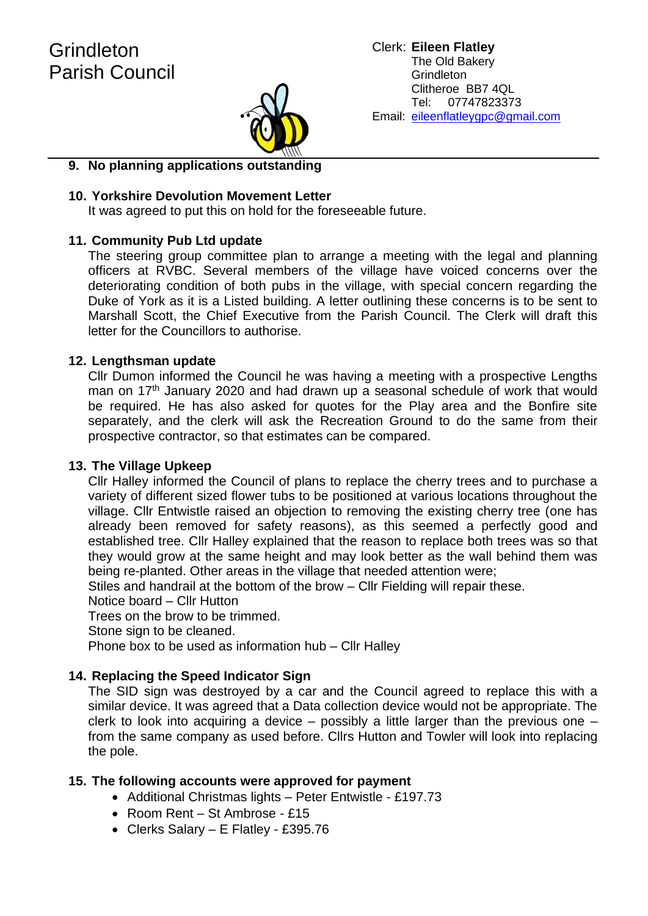

#### **9. No planning applications outstanding**

#### **10. Yorkshire Devolution Movement Letter**

It was agreed to put this on hold for the foreseeable future.

#### **11. Community Pub Ltd update**

The steering group committee plan to arrange a meeting with the legal and planning officers at RVBC. Several members of the village have voiced concerns over the deteriorating condition of both pubs in the village, with special concern regarding the Duke of York as it is a Listed building. A letter outlining these concerns is to be sent to Marshall Scott, the Chief Executive from the Parish Council. The Clerk will draft this letter for the Councillors to authorise.

#### **12. Lengthsman update**

Cllr Dumon informed the Council he was having a meeting with a prospective Lengths man on 17<sup>th</sup> January 2020 and had drawn up a seasonal schedule of work that would be required. He has also asked for quotes for the Play area and the Bonfire site separately, and the clerk will ask the Recreation Ground to do the same from their prospective contractor, so that estimates can be compared.

#### **13. The Village Upkeep**

Cllr Halley informed the Council of plans to replace the cherry trees and to purchase a variety of different sized flower tubs to be positioned at various locations throughout the village. Cllr Entwistle raised an objection to removing the existing cherry tree (one has already been removed for safety reasons), as this seemed a perfectly good and established tree. Cllr Halley explained that the reason to replace both trees was so that they would grow at the same height and may look better as the wall behind them was being re-planted. Other areas in the village that needed attention were;

Stiles and handrail at the bottom of the brow – Cllr Fielding will repair these.

Notice board – Cllr Hutton

Trees on the brow to be trimmed.

Stone sign to be cleaned.

Phone box to be used as information hub – Cllr Halley

#### **14. Replacing the Speed Indicator Sign**

The SID sign was destroyed by a car and the Council agreed to replace this with a similar device. It was agreed that a Data collection device would not be appropriate. The clerk to look into acquiring a device – possibly a little larger than the previous one – from the same company as used before. Cllrs Hutton and Towler will look into replacing the pole.

#### **15. The following accounts were approved for payment**

- Additional Christmas lights Peter Entwistle £197.73
- Room Rent St Ambrose £15
- Clerks Salary E Flatley £395.76